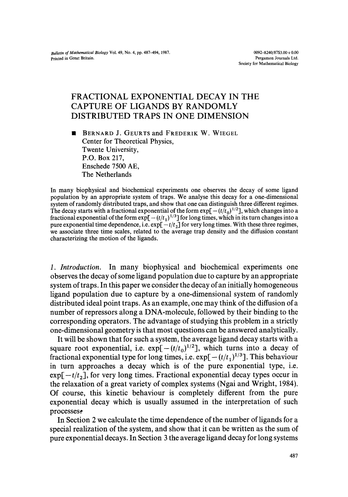## FRACTIONAL EXPONENTIAL DECAY IN THE CAPTURE OF LIGANDS BY RANDOMLY DISTRIBUTED TRAPS IN ONE DIMENSION

BERNARD J. GEURTS and FREDERIK W. WIEGEL  $\blacksquare$ Center for Theoretical Physics, Twente University, P.O. Box 217, Enschede 7500 AE, The Netherlands

In many biophysical and biochemical experiments one observes the decay of some ligand population by an appropriate system of traps. We analyse this decay for a one-dimensional system of randomly distributed traps, and show that one can distinguish three different regimes. The decay starts with a fractional exponential of the form  $exp[-( t/t_0)^{1/2}]$ , which changes into a fractional exponential of the form  $exp[-(t/t_1)^{1/3}]$  for long times, which in its turn changes into a pure exponential time dependence, i.e.  $\exp[-t/t_2]$  for very long times. With these three regimes, we associate three time scales, related to the average trap density and the diffusion constant characterizing the motion of the ligands.

*1. Introduction.* In many biophysical and biochemical experiments one observes the decay of some ligand population due to capture by an appropriate system of traps. In this paper we consider the decay of an initially homogeneous ligand population due to capture by a one-dimensional system of randomly distributed ideal point traps. As an example, one may think of the diffusion of a number of repressors along a DNA-molecule, followed by their binding to the corresponding operators. The advantage of studying this problem in a strictly one-dimensional geometry is that most questions can be answered analytically.

It will be shown that for such a system, the average ligand decay starts with a square root exponential, i.e.  $exp[-(t/t_0)^{1/2}]$ , which turns into a decay of fractional exponential type for long times, i.e.  $\exp[-(t/t_1)^{1/3}]$ . This behaviour in turn approaches a decay which is of the pure exponential type, i.e.  $\exp[-t/t_2]$ , for very long times. Fractional exponential decay types occur in the relaxation of a great variety of complex systems (Ngai and Wright, 1984). Of course, this kinetic behaviour is completely different from the pure exponential decay which is usually assumed in the interpretation of such processes.

In Section 2 we calculate the time dependence of the number of ligands for a special realization of the system, and show that it can be written as the sum of pure exponential decays. In Section 3 the average ligand decay for long systems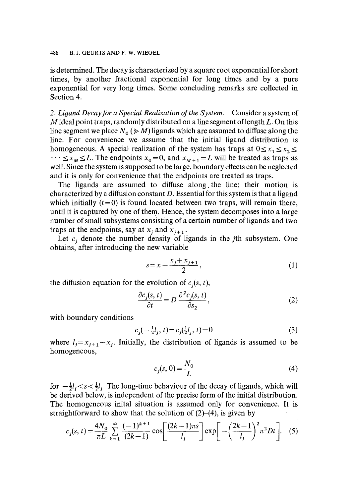is determined. The decay is characterized by a square root exponential for short times, by another fractional exponential for long times and by a pure exponential for very long times. Some concluding remarks are collected in Section 4.

*2. Ligand Decay for a Special Realization of the System.* Consider a system of  $M$  ideal point traps, randomly distributed on a line segment of length  $L$ . On this line segment we place  $N_0 \gg M$ ) ligands which are assumed to diffuse along the line. For convenience we assume that the initial ligand distribution is homogeneous. A special realization of the system has traps at  $0 \le x_1 \le x_2 \le$  $\cdots \le x_M \le L$ . The endpoints  $x_0 = 0$ , and  $x_{M+1} = L$  will be treated as traps as well. Since the system is supposed to be large, boundary effects can be neglected and it is only for convenience that the endpoints are treated as traps.

The ligands are assumed to diffuse along the line; their motion is characterized by a diffusion constant  $D$ . Essential for this system is that a ligand which initially  $(t=0)$  is found located between two traps, will remain there, until it is captured by one of them. Hence, the system decomposes into a large number of small subsystems consisting of a certain number of ligands and two traps at the endpoints, say at  $x_i$  and  $x_{i+1}$ .

Let  $c_j$  denote the number density of ligands in the jth subsystem. One obtains, after introducing the new variable

$$
s = x - \frac{x_j + x_{j+1}}{2},
$$
\n(1)

the diffusion equation for the evolution of  $c_i(s, t)$ ,

$$
\frac{\partial c_j(s,t)}{\partial t} = D \frac{\partial^2 c_j(s,t)}{\partial s_2},\tag{2}
$$

with boundary conditions

$$
c_j(-\frac{1}{2}l_j, t) = c_j(\frac{1}{2}l_j, t) = 0
$$
\n(3)

where  $l_j = x_{j+1} - x_j$ . Initially, the distribution of ligands is assumed to be homogeneous,

$$
c_j(s, 0) = \frac{N_0}{L} \tag{4}
$$

for  $-\frac{1}{2}l_i < s < \frac{1}{2}l_i$ . The long-time behaviour of the decay of ligands, which will be derived below, is independent of the precise form of the initial distribution. The homogeneous inital situation is assumed only for convenience. It is straightforward to show that the solution of  $(2)-(4)$ , is given by

$$
c_j(s,t) = \frac{4N_0}{\pi L} \sum_{k=1}^{\infty} \frac{(-1)^{k+1}}{(2k-1)} \cos\left[\frac{(2k-1)\pi s}{l_j}\right] \exp\left[-\left(\frac{2k-1}{l_j}\right)^2 \pi^2 Dt\right].
$$
 (5)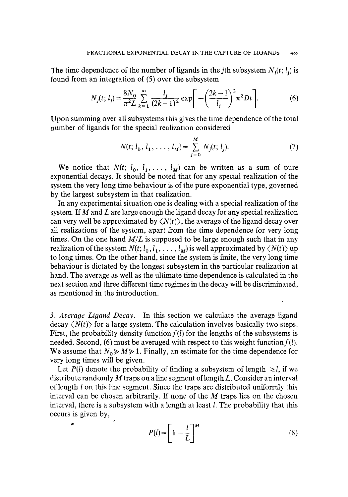The time dependence of the number of ligands in the *j*th subsystem  $N_i(t; l_i)$  is found from an integration of (5) over the subsystem

$$
N_j(t; l_j) = \frac{8N_0}{\pi^2 L} \sum_{k=1}^{\infty} \frac{l_j}{(2k-1)^2} \exp\bigg[-\bigg(\frac{2k-1}{l_j}\bigg)^2 \pi^2 Dt\bigg].
$$
 (6)

Upon summing over all subsystems this gives the time dependence of the total number of ligands for the special realization considered

$$
N(t; l_0, l_1, \dots, l_M) = \sum_{j=0}^{M} N_j(t; l_j).
$$
 (7)

We notice that  $N(t; l_0, l_1, \ldots, l_M)$  can be written as a sum of pure exponential decays. It should be noted that for any special realization of the system the very long time behaviour is of the pure exponential type, governed by the largest subsystem in that realization.

In any experimental situation one is dealing with a special realization of the system. If M and L are large enough the ligand decay for any special realization can very well be approximated by  $\langle N(t) \rangle$ , the average of the ligand decay over all realizations of the system, apart from the time dependence for very long times. On the one hand  $M/L$  is supposed to be large enough such that in any realization of the system  $N(t; l_0, l_1, \ldots, l_M)$  is well approximated by  $\langle N(t) \rangle$  up to long times. On the other hand, since the system is finite, the very long time behaviour is dictated by the longest subsystem in the particular realization at hand. The average as well as the ultimate time dependence is calculated in the next section and three different time regimes in the decay will be discriminated, as mentioned in the introduction.

*3. Average Ligand Decay.* In this section we calculate the average ligand decay  $\langle N(t) \rangle$  for a large system. The calculation involves basically two steps. First, the probability density function  $f(l)$  for the lengths of the subsystems is needed. Second, (6) must be averaged with respect to this weight function  $f(l)$ . We assume that  $N_0 \ge M \ge 1$ . Finally, an estimate for the time dependence for very long times will be given.

Let  $P(l)$  denote the probability of finding a subsystem of length  $\geq l$ , if we distribute randomly M traps on a line segment of length L. Consider an interval of length 1 on this line segment. Since the traps are distributed uniformly this interval can be chosen arbitrarily. If none of the  $M$  traps lies on the chosen interval, there is a subsystem with a length at least  $l$ . The probability that this occurs is given by,

$$
P(l) = \left[1 - \frac{l}{L}\right]^M \tag{8}
$$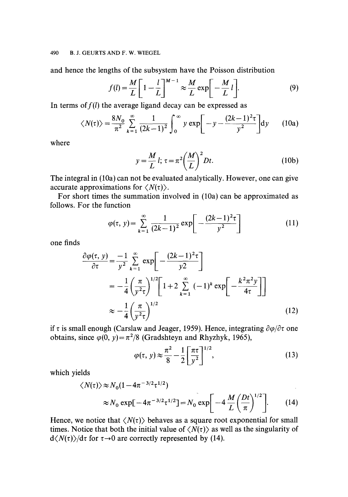and hence the lengths of the subsystem have the Poisson distribution

$$
f(l) = \frac{M}{L} \left[ 1 - \frac{l}{L} \right]^{M-1} \approx \frac{M}{L} \exp\left[ -\frac{M}{L} l \right].
$$
 (9)

In terms of  $f(l)$  the average ligand decay can be expressed as

$$
\langle N(\tau) \rangle = \frac{8N_0}{\pi^2} \sum_{k=1}^{\infty} \frac{1}{(2k-1)^2} \int_0^{\infty} y \exp\left[-y - \frac{(2k-1)^2 \tau}{y^2}\right] dy \qquad (10a)
$$

where

$$
y = \frac{M}{L} l; \tau = \pi^2 \left(\frac{M}{L}\right)^2 Dt.
$$
 (10b)

The integral in (10a) can not be evaluated analytically. However, one can give accurate approximations for  $\langle N(\tau) \rangle$ .

For short times the summation involved in (10a) can be approximated as follows. For the function

$$
\varphi(\tau, y) = \sum_{k=1}^{\infty} \frac{1}{(2k-1)^2} \exp\left[-\frac{(2k-1)^2 \tau}{y^2}\right]
$$
(11)

one finds

$$
\frac{\partial \varphi(\tau, y)}{\partial \tau} = \frac{-1}{y^2} \sum_{k=1}^{\infty} \exp\left[-\frac{(2k-1)^2 \tau}{y^2}\right]
$$

$$
= -\frac{1}{4} \left(\frac{\pi}{y^2 \tau}\right)^{1/2} \left[1 + 2 \sum_{k=1}^{\infty} (-1)^k \exp\left[-\frac{k^2 \pi^2 y}{4\tau}\right]\right]
$$

$$
\approx -\frac{1}{4} \left(\frac{\pi}{y^2 \tau}\right)^{1/2}
$$
(12)

if  $\tau$  is small enough (Carslaw and Jeager, 1959). Hence, integrating  $\partial \varphi / \partial \tau$  one obtains, since  $\varphi(0, y) = \pi^2/8$  (Gradshteyn and Rhyzhyk, 1965),

$$
\varphi(\tau, y) \approx \frac{\pi^2}{8} - \frac{1}{2} \left[ \frac{\pi \tau}{y^2} \right]^{1/2},\tag{13}
$$

which yields

$$
\langle N(\tau) \rangle \approx N_0 (1 - 4\pi^{-3/2} \tau^{1/2})
$$
  
 
$$
\approx N_0 \exp[-4\pi^{-3/2} \tau^{1/2}] = N_0 \exp\left[-4\frac{M}{L} \left(\frac{Dt}{\pi}\right)^{1/2}\right].
$$
 (14)

Hence, we notice that  $\langle N(\tau) \rangle$  behaves as a square root exponential for small times. Notice that both the initial value of  $\langle N(\tau) \rangle$  as well as the singularity of  $d\langle N(\tau)\rangle/d\tau$  for  $\tau\rightarrow 0$  are correctly represented by (14).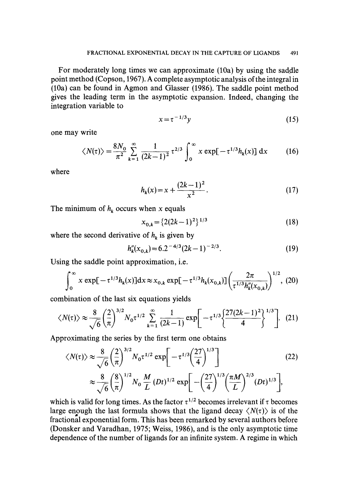For moderately long times we can approximate (10a) by using the saddle point method (Copson, 1967). A complete asymptotic analysis of the integral in (10a) can be found in Agmon and Glasser (1986). The saddle point method gives the leading term in the asymptotic expansion. Indeed, changing the integration variable to

$$
x = \tau^{-1/3}y\tag{15}
$$

one may write

$$
\langle N(\tau) \rangle = \frac{8N_0}{\pi^2} \sum_{k=1}^{\infty} \frac{1}{(2k-1)^2} \tau^{2/3} \int_0^{\infty} x \exp[-\tau^{1/3} h_k(x)] dx \qquad (16)
$$

where

$$
h_k(x) = x + \frac{(2k-1)^2}{x^2}.
$$
 (17)

The minimum of  $h_k$  occurs when x equals

$$
x_{0,k} = \{2(2k-1)^2\}^{1/3}
$$
 (18)

where the second derivative of  $h_k$  is given by

$$
h_k''(x_{0,k}) = 6.2^{-4/3} (2k - 1)^{-2/3}.
$$
 (19)

Using the saddle point approximation, i.e.

$$
\int_0^\infty x \exp[-\tau^{1/3} h_k(x)] dx \approx x_{0,k} \exp[-\tau^{1/3} h_k(x_{0,k})] \left(\frac{2\pi}{\tau^{1/3} h_k''(x_{0,k})}\right)^{1/2}, (20)
$$

combination of the last six equations yields

$$
\langle N(\tau) \rangle \approx \frac{8}{\sqrt{6}} \left(\frac{2}{\pi}\right)^{3/2} N_0 \tau^{1/2} \sum_{k=1}^{\infty} \frac{1}{(2k-1)} \exp\left[-\tau^{1/3} \left\{\frac{27(2k-1)^2}{4}\right\}^{1/3}\right].
$$
 (21)

Approximating the series by the first term one obtains

$$
\langle N(\tau) \rangle \approx \frac{8}{\sqrt{6}} \left(\frac{2}{\pi}\right)^{3/2} N_0 \tau^{1/2} \exp\left[-\tau^{1/3} \left(\frac{27}{4}\right)^{1/3}\right]
$$
\n
$$
\approx \frac{8}{\sqrt{6}} \left(\frac{8}{\pi}\right)^{1/2} N_0 \frac{M}{L} (Dt)^{1/2} \exp\left[-\left(\frac{27}{4}\right)^{1/3} \left(\frac{\pi M}{L}\right)^{2/3} (Dt)^{1/3}\right],
$$
\n(22)

which is valid for long times. As the factor  $\tau^{1/2}$  becomes irrelevant if  $\tau$  becomes large enough the last formula shows that the ligand decay  $\langle N(\tau) \rangle$  is of the fractional exponential form. This has been remarked by several authors before (Donsker and Varadhan, 1975; Weiss, 1986), and is the only asymptotic time dependence of the number of ligands for an infinite system. A regime in which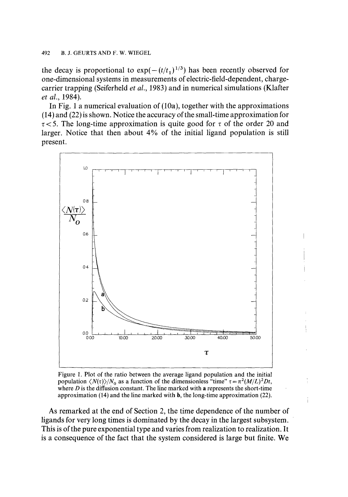## 492 B.J. GEURTS AND F. W. WIEGEL

the decay is proportional to  $exp(-(t/t_1)^{1/3})$  has been recently observed for one-dimensional systems in measurements of electric-field-dependent, chargecarrier trapping (Seiferheld *et al.,* 1983) and in numerical simulations (Klafter *et al.,* 1984).

In Fig. 1 a numerical evaluation of (10a), together with the approximations (14) and (22) is shown. Notice the accuracy of the small-time approximation for  $\tau$  < 5. The long-time approximation is quite good for  $\tau$  of the order 20 and larger. Notice that then about 4% of the initial ligand population is still present.



Figure 1. Plot of the ratio between the average ligand population and the initial population  $\langle N(\tau) \rangle/N_0$  as a function of the dimensionless "time"  $\tau = \pi^2 (M/L)^2 Dt$ , where  $D$  is the diffusion constant. The line marked with a represents the short-time approximation (14) and the line marked with b, the long-time approximation (22).

As remarked at the end of Section 2, the time dependence of the number of ligands for very long times is dominated by the decay in the largest subsystem. This is of the pure exponential type and varies from realization to realization. It is a consequence of the fact that the system considered is large but finite. We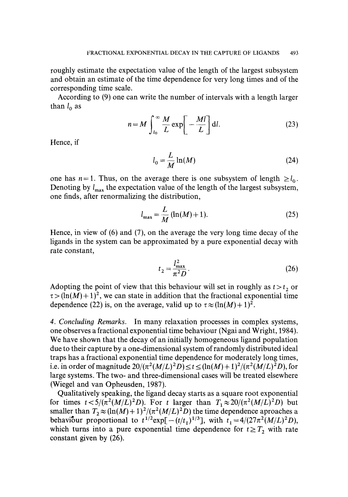roughly estimate the expectation value of the length of the largest subsystem and obtain an estimate of the time dependence for very long times and of the corresponding time scale.

According to (9) one can write the number of intervals with a length larger than  $l_0$  as

$$
n = M \int_{l_0}^{\infty} \frac{M}{L} \exp\left[-\frac{Ml}{L}\right] dl.
$$
 (23)

Hence, if

$$
l_0 = \frac{L}{M} \ln(M) \tag{24}
$$

one has  $n = 1$ . Thus, on the average there is one subsystem of length  $\ge l_0$ . Denoting by  $l_{\text{max}}$  the expectation value of the length of the largest subsystem, one finds, after renormalizing the distribution,

$$
l_{\max} = \frac{L}{M} (\ln(M) + 1).
$$
 (25)

Hence, in view of (6) and (7), on the average the very long time decay of the ligands in the system can be approximated by a pure exponential decay with rate constant,

$$
t_2 = \frac{l_{\text{max}}^2}{\pi^2 D}.
$$
\n(26)

Adopting the point of view that this behaviour will set in roughly as  $t > t<sub>2</sub>$  or  $\tau > (\ln(M) + 1)^2$ , we can state in addition that the fractional exponential time dependence (22) is, on the average, valid up to  $\tau \approx (\ln(M) + 1)^2$ .

*4. Concludin9 Remarks.* In many relaxation processes in complex systems, one observes a fractional exponential time behaviour (Ngai and Wright, 1984). We have shown that the decay of an initially homogeneous ligand population due to their capture by a one-dimensional system of randomly distributed ideal traps has a fractional exponential time dependence for moderately long times, i.e. in order of magnitude  $20/(\pi^2 (M/L)^2 D) \le t \le (\ln(M) + 1)^2/(\pi^2 (M/L)^2 D)$ , for large systems. The two- and three-dimensional cases will be treated elsewhere (Wiegel and van Opheusden, 1987).

Qualitatively speaking, the ligand decay starts as a square root exponential for times  $t < 5/(\pi^2 (M/L)^2 D)$ . For t larger than  $T_1 \approx 20/(\pi^2 (M/L)^2 D)$  but smaller than  $T_2 \approx (\ln(M) + 1)^2/(\pi^2 (M/L)^2 D)$  the time dependence aproaches a behaviour proportional to  $t^{1/2} \exp[-(t/t_1)^{1/3}]$ , with  $t_1 = 4/(27\pi^2(M/L)^2D)$ , which turns into a pure exponential time dependence for  $t \geq T_2$  with rate constant given by (26).